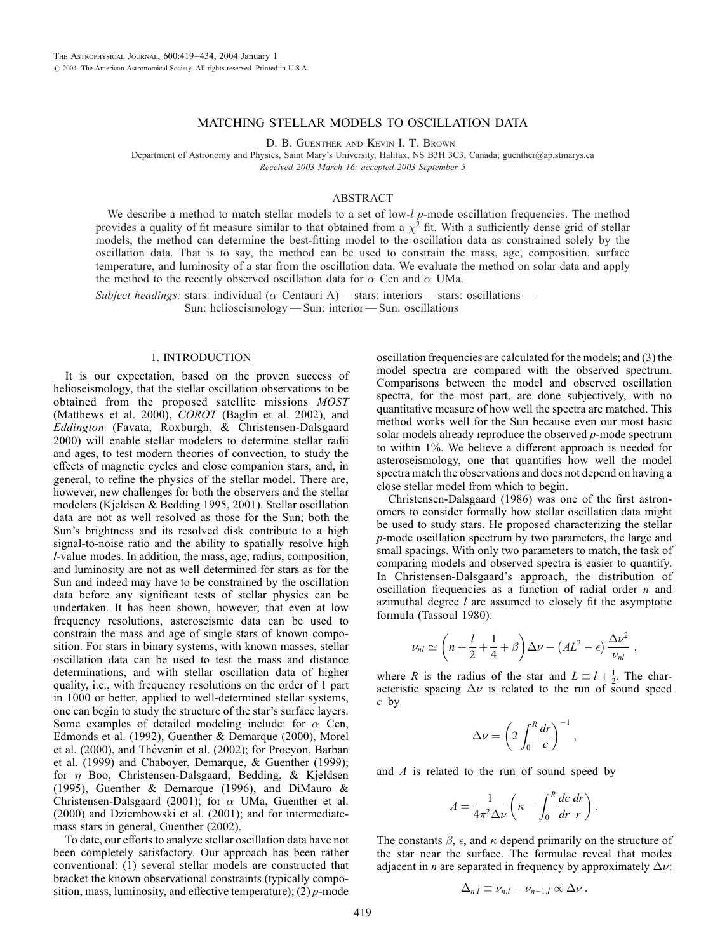### MATCHING STELLAR MODELS TO OSCILLATION DATA

D. B. Guenther and Kevin I. T. Brown

Department of Astronomy and Physics, Saint Mary's University, Halifax, NS B3H 3C3, Canada; guenther@ap.stmarys.ca Received 2003 March 16; accepted 2003 September 5

### ABSTRACT

We describe a method to match stellar models to a set of low- $l$  p-mode oscillation frequencies. The method provides a quality of fit measure similar to that obtained from a  $\chi^2$  fit. With a sufficiently dense grid of stellar models, the method can determine the best-fitting model to the oscillation data as constrained solely by the oscillation data. That is to say, the method can be used to constrain the mass, age, composition, surface temperature, and luminosity of a star from the oscillation data. We evaluate the method on solar data and apply the method to the recently observed oscillation data for  $\alpha$  Cen and  $\alpha$  UMa.

Subject headings: stars: individual ( $\alpha$  Centauri A) — stars: interiors — stars: oscillations Sun: helioseismology — Sun: interior — Sun: oscillations

### 1. INTRODUCTION

It is our expectation, based on the proven success of helioseismology, that the stellar oscillation observations to be obtained from the proposed satellite missions MOST (Matthews et al. 2000), COROT (Baglin et al. 2002), and Eddington (Favata, Roxburgh, & Christensen-Dalsgaard 2000) will enable stellar modelers to determine stellar radii and ages, to test modern theories of convection, to study the effects of magnetic cycles and close companion stars, and, in general, to refine the physics of the stellar model. There are, however, new challenges for both the observers and the stellar modelers (Kjeldsen & Bedding 1995, 2001). Stellar oscillation data are not as well resolved as those for the Sun; both the Sun's brightness and its resolved disk contribute to a high signal-to-noise ratio and the ability to spatially resolve high l-value modes. In addition, the mass, age, radius, composition, and luminosity are not as well determined for stars as for the Sun and indeed may have to be constrained by the oscillation data before any significant tests of stellar physics can be undertaken. It has been shown, however, that even at low frequency resolutions, asteroseismic data can be used to constrain the mass and age of single stars of known composition. For stars in binary systems, with known masses, stellar oscillation data can be used to test the mass and distance determinations, and with stellar oscillation data of higher quality, i.e., with frequency resolutions on the order of 1 part in 1000 or better, applied to well-determined stellar systems, one can begin to study the structure of the star's surface layers. Some examples of detailed modeling include: for  $\alpha$  Cen, Edmonds et al. (1992), Guenther & Demarque (2000), Morel et al. (2000), and Thévenin et al. (2002); for Procyon, Barban et al. (1999) and Chaboyer, Demarque, & Guenther (1999); for  $\eta$  Boo, Christensen-Dalsgaard, Bedding, & Kjeldsen (1995), Guenther & Demarque (1996), and DiMauro & Christensen-Dalsgaard (2001); for  $\alpha$  UMa, Guenther et al. (2000) and Dziembowski et al. (2001); and for intermediatemass stars in general, Guenther (2002).

To date, our efforts to analyze stellar oscillation data have not been completely satisfactory. Our approach has been rather conventional: (1) several stellar models are constructed that bracket the known observational constraints (typically composition, mass, luminosity, and effective temperature);  $(2) p$ -mode

oscillation frequencies are calculated for the models; and (3) the model spectra are compared with the observed spectrum. Comparisons between the model and observed oscillation spectra, for the most part, are done subjectively, with no quantitative measure of how well the spectra are matched. This method works well for the Sun because even our most basic solar models already reproduce the observed *p*-mode spectrum to within 1%. We believe a different approach is needed for asteroseismology, one that quantifies how well the model spectra match the observations and does not depend on having a close stellar model from which to begin.

Christensen-Dalsgaard (1986) was one of the first astronomers to consider formally how stellar oscillation data might be used to study stars. He proposed characterizing the stellar p-mode oscillation spectrum by two parameters, the large and small spacings. With only two parameters to match, the task of comparing models and observed spectra is easier to quantify. In Christensen-Dalsgaard's approach, the distribution of oscillation frequencies as a function of radial order  $n$  and azimuthal degree  $l$  are assumed to closely fit the asymptotic formula (Tassoul 1980):

$$
\nu_{nl} \simeq \left( n + \frac{l}{2} + \frac{1}{4} + \beta \right) \Delta \nu - \left( A L^2 - \epsilon \right) \frac{\Delta \nu^2}{\nu_{nl}} \,,
$$

where R is the radius of the star and  $L \equiv l + \frac{1}{2}$ . The characteristic spacing  $\Delta \nu$  is related to the run of sound speed  $c$  by

$$
\Delta \nu = \left(2 \int_0^R \frac{dr}{c} \right)^{-1},
$$

and A is related to the run of sound speed by

$$
A = \frac{1}{4\pi^2 \Delta \nu} \left( \kappa - \int_0^R \frac{dc}{dr} \frac{dr}{r} \right).
$$

The constants  $\beta$ ,  $\epsilon$ , and  $\kappa$  depend primarily on the structure of the star near the surface. The formulae reveal that modes adjacent in *n* are separated in frequency by approximately  $\Delta \nu$ :

$$
\Delta_{n,l}\equiv\nu_{n,l}-\nu_{n-1,l}\propto\Delta\nu.
$$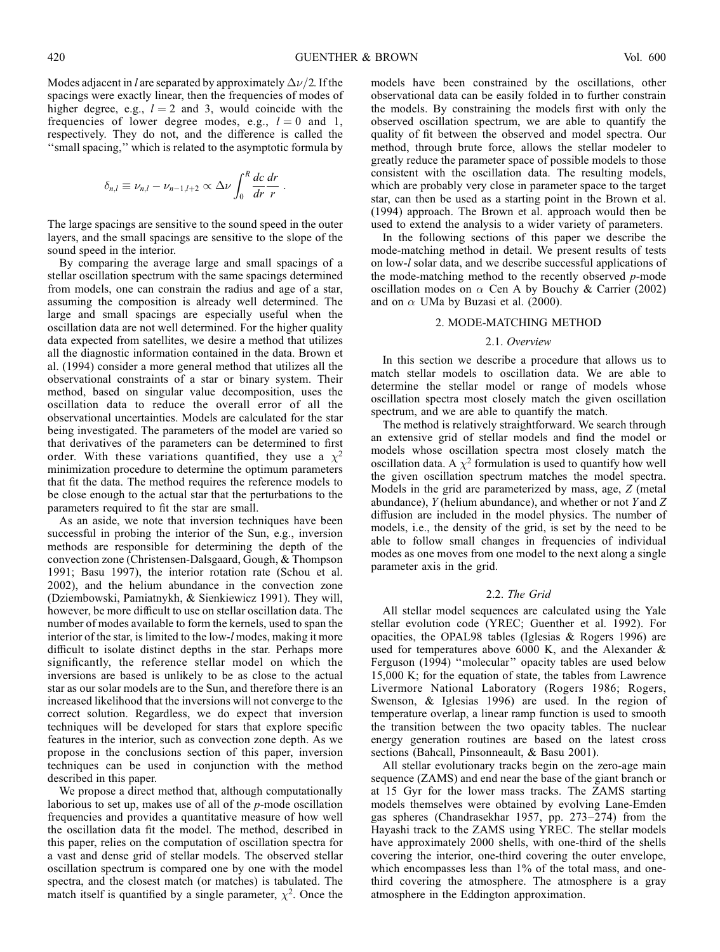Modes adjacent in l are separated by approximately  $\Delta \nu/2$ . If the spacings were exactly linear, then the frequencies of modes of higher degree, e.g.,  $l = 2$  and 3, would coincide with the frequencies of lower degree modes, e.g.,  $l = 0$  and 1, respectively. They do not, and the difference is called the ''small spacing,'' which is related to the asymptotic formula by

$$
\delta_{n,l} \equiv \nu_{n,l} - \nu_{n-1,l+2} \propto \Delta \nu \int_0^R \frac{dc}{dr} \frac{dr}{r}.
$$

The large spacings are sensitive to the sound speed in the outer layers, and the small spacings are sensitive to the slope of the sound speed in the interior.

By comparing the average large and small spacings of a stellar oscillation spectrum with the same spacings determined from models, one can constrain the radius and age of a star, assuming the composition is already well determined. The large and small spacings are especially useful when the oscillation data are not well determined. For the higher quality data expected from satellites, we desire a method that utilizes all the diagnostic information contained in the data. Brown et al. (1994) consider a more general method that utilizes all the observational constraints of a star or binary system. Their method, based on singular value decomposition, uses the oscillation data to reduce the overall error of all the observational uncertainties. Models are calculated for the star being investigated. The parameters of the model are varied so that derivatives of the parameters can be determined to first order. With these variations quantified, they use a  $\chi^2$ minimization procedure to determine the optimum parameters that fit the data. The method requires the reference models to be close enough to the actual star that the perturbations to the parameters required to fit the star are small.

As an aside, we note that inversion techniques have been successful in probing the interior of the Sun, e.g., inversion methods are responsible for determining the depth of the convection zone (Christensen-Dalsgaard, Gough, & Thompson 1991; Basu 1997), the interior rotation rate (Schou et al. 2002), and the helium abundance in the convection zone (Dziembowski, Pamiatnykh, & Sienkiewicz 1991). They will, however, be more difficult to use on stellar oscillation data. The number of modes available to form the kernels, used to span the interior of the star, is limited to the low-l modes, making it more difficult to isolate distinct depths in the star. Perhaps more significantly, the reference stellar model on which the inversions are based is unlikely to be as close to the actual star as our solar models are to the Sun, and therefore there is an increased likelihood that the inversions will not converge to the correct solution. Regardless, we do expect that inversion techniques will be developed for stars that explore specific features in the interior, such as convection zone depth. As we propose in the conclusions section of this paper, inversion techniques can be used in conjunction with the method described in this paper.

We propose a direct method that, although computationally laborious to set up, makes use of all of the *p*-mode oscillation frequencies and provides a quantitative measure of how well the oscillation data fit the model. The method, described in this paper, relies on the computation of oscillation spectra for a vast and dense grid of stellar models. The observed stellar oscillation spectrum is compared one by one with the model spectra, and the closest match (or matches) is tabulated. The match itself is quantified by a single parameter,  $\chi^2$ . Once the

models have been constrained by the oscillations, other observational data can be easily folded in to further constrain the models. By constraining the models first with only the observed oscillation spectrum, we are able to quantify the quality of fit between the observed and model spectra. Our method, through brute force, allows the stellar modeler to greatly reduce the parameter space of possible models to those consistent with the oscillation data. The resulting models, which are probably very close in parameter space to the target star, can then be used as a starting point in the Brown et al. (1994) approach. The Brown et al. approach would then be used to extend the analysis to a wider variety of parameters.

In the following sections of this paper we describe the mode-matching method in detail. We present results of tests on low-l solar data, and we describe successful applications of the mode-matching method to the recently observed  $p$ -mode oscillation modes on  $\alpha$  Cen A by Bouchy & Carrier (2002) and on  $\alpha$  UMa by Buzasi et al. (2000).

### 2. MODE-MATCHING METHOD

### 2.1. Overview

In this section we describe a procedure that allows us to match stellar models to oscillation data. We are able to determine the stellar model or range of models whose oscillation spectra most closely match the given oscillation spectrum, and we are able to quantify the match.

The method is relatively straightforward. We search through an extensive grid of stellar models and find the model or models whose oscillation spectra most closely match the oscillation data. A  $\chi^2$  formulation is used to quantify how well the given oscillation spectrum matches the model spectra. Models in the grid are parameterized by mass, age, Z (metal abundance),  $Y$  (helium abundance), and whether or not  $Y$  and  $Z$ diffusion are included in the model physics. The number of models, i.e., the density of the grid, is set by the need to be able to follow small changes in frequencies of individual modes as one moves from one model to the next along a single parameter axis in the grid.

# 2.2. The Grid

All stellar model sequences are calculated using the Yale stellar evolution code (YREC; Guenther et al. 1992). For opacities, the OPAL98 tables (Iglesias & Rogers 1996) are used for temperatures above 6000 K, and the Alexander & Ferguson (1994) ''molecular'' opacity tables are used below 15,000 K; for the equation of state, the tables from Lawrence Livermore National Laboratory (Rogers 1986; Rogers, Swenson, & Iglesias 1996) are used. In the region of temperature overlap, a linear ramp function is used to smooth the transition between the two opacity tables. The nuclear energy generation routines are based on the latest cross sections (Bahcall, Pinsonneault, & Basu 2001).

All stellar evolutionary tracks begin on the zero-age main sequence (ZAMS) and end near the base of the giant branch or at 15 Gyr for the lower mass tracks. The ZAMS starting models themselves were obtained by evolving Lane-Emden gas spheres (Chandrasekhar 1957, pp. 273–274) from the Hayashi track to the ZAMS using YREC. The stellar models have approximately 2000 shells, with one-third of the shells covering the interior, one-third covering the outer envelope, which encompasses less than 1% of the total mass, and onethird covering the atmosphere. The atmosphere is a gray atmosphere in the Eddington approximation.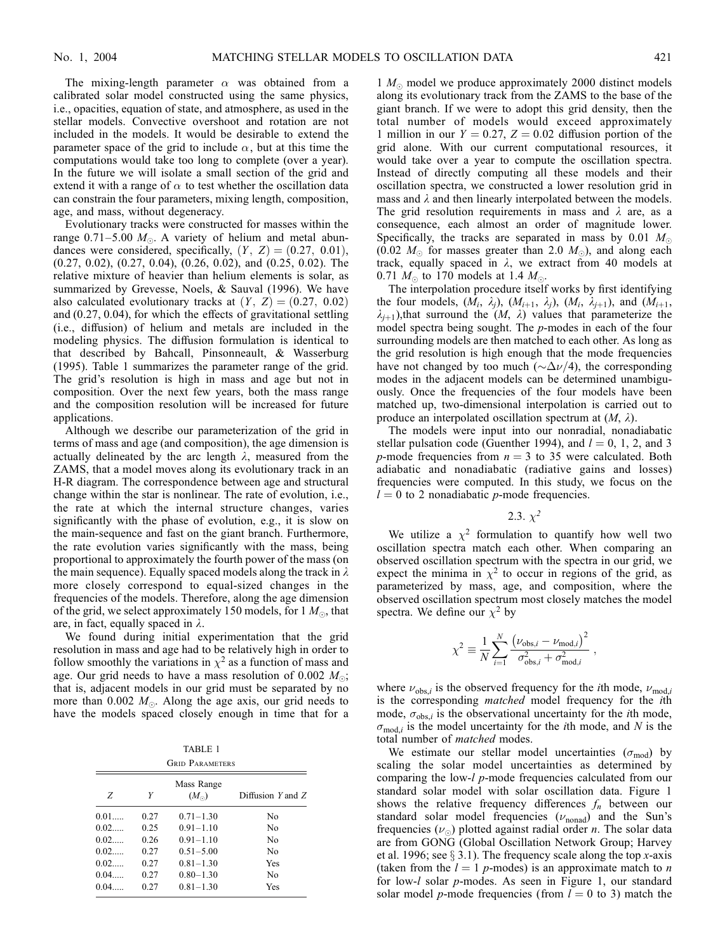The mixing-length parameter  $\alpha$  was obtained from a calibrated solar model constructed using the same physics, i.e., opacities, equation of state, and atmosphere, as used in the stellar models. Convective overshoot and rotation are not included in the models. It would be desirable to extend the parameter space of the grid to include  $\alpha$ , but at this time the computations would take too long to complete (over a year). In the future we will isolate a small section of the grid and extend it with a range of  $\alpha$  to test whether the oscillation data can constrain the four parameters, mixing length, composition, age, and mass, without degeneracy.

Evolutionary tracks were constructed for masses within the range  $0.71-5.00$   $M_{\odot}$ . A variety of helium and metal abundances were considered, specifically,  $(Y, Z) = (0.27, 0.01)$ , (0.27, 0.02), (0.27, 0.04), (0.26, 0.02), and (0.25, 0.02). The relative mixture of heavier than helium elements is solar, as summarized by Grevesse, Noels, & Sauval (1996). We have also calculated evolutionary tracks at  $(Y, Z) = (0.27, 0.02)$ and (0.27, 0.04), for which the effects of gravitational settling (i.e., diffusion) of helium and metals are included in the modeling physics. The diffusion formulation is identical to that described by Bahcall, Pinsonneault, & Wasserburg (1995). Table 1 summarizes the parameter range of the grid. The grid's resolution is high in mass and age but not in composition. Over the next few years, both the mass range and the composition resolution will be increased for future applications.

Although we describe our parameterization of the grid in terms of mass and age (and composition), the age dimension is actually delineated by the arc length  $\lambda$ , measured from the ZAMS, that a model moves along its evolutionary track in an H-R diagram. The correspondence between age and structural change within the star is nonlinear. The rate of evolution, i.e., the rate at which the internal structure changes, varies significantly with the phase of evolution, e.g., it is slow on the main-sequence and fast on the giant branch. Furthermore, the rate evolution varies significantly with the mass, being proportional to approximately the fourth power of the mass (on the main sequence). Equally spaced models along the track in  $\lambda$ more closely correspond to equal-sized changes in the frequencies of the models. Therefore, along the age dimension of the grid, we select approximately 150 models, for 1  $M_{\odot}$ , that are, in fact, equally spaced in  $\lambda$ .

We found during initial experimentation that the grid resolution in mass and age had to be relatively high in order to follow smoothly the variations in  $\chi^2$  as a function of mass and age. Our grid needs to have a mass resolution of 0.002  $M_{\odot}$ ; that is, adjacent models in our grid must be separated by no more than 0.002  $M_{\odot}$ . Along the age axis, our grid needs to have the models spaced closely enough in time that for a

TABLE 1 GRID PARAMETERS

| Z    | Y    | Mass Range<br>$(M_{\odot})$ | Diffusion $Y$ and $Z$ |
|------|------|-----------------------------|-----------------------|
| 0.01 | 0.27 | $0.71 - 1.30$               | No                    |
| 0.02 | 0.25 | $0.91 - 1.10$               | No                    |
| 0.02 | 0.26 | $0.91 - 1.10$               | No                    |
| 0.02 | 0.27 | $0.51 - 5.00$               | No                    |
| 0.02 | 0.27 | $0.81 - 1.30$               | Yes                   |
| 0.04 | 0.27 | $0.80 - 1.30$               | No                    |
| 0.04 | 0.27 | $0.81 - 1.30$               | Yes                   |
|      |      |                             |                       |

1  $M_{\odot}$  model we produce approximately 2000 distinct models along its evolutionary track from the ZAMS to the base of the giant branch. If we were to adopt this grid density, then the total number of models would exceed approximately 1 million in our  $Y = 0.27$ ,  $Z = 0.02$  diffusion portion of the grid alone. With our current computational resources, it would take over a year to compute the oscillation spectra. Instead of directly computing all these models and their oscillation spectra, we constructed a lower resolution grid in mass and  $\lambda$  and then linearly interpolated between the models. The grid resolution requirements in mass and  $\lambda$  are, as a consequence, each almost an order of magnitude lower. Specifically, the tracks are separated in mass by 0.01  $M_{\odot}$  $(0.02 M_{\odot}$  for masses greater than 2.0  $M_{\odot}$ ), and along each track, equally spaced in  $\lambda$ , we extract from 40 models at 0.71  $M_{\odot}$  to 170 models at 1.4  $M_{\odot}$ .

The interpolation procedure itself works by first identifying the four models,  $(M_i, \lambda_j)$ ,  $(M_{i+1}, \lambda_j)$ ,  $(M_i, \lambda_{j+1})$ , and  $(M_{i+1},$  $\lambda_{i+1}$ ), that surround the  $(M, \lambda)$  values that parameterize the model spectra being sought. The  $p$ -modes in each of the four surrounding models are then matched to each other. As long as the grid resolution is high enough that the mode frequencies have not changed by too much ( $\sim \Delta \nu/4$ ), the corresponding modes in the adjacent models can be determined unambiguously. Once the frequencies of the four models have been matched up, two-dimensional interpolation is carried out to produce an interpolated oscillation spectrum at  $(M, \lambda)$ .

The models were input into our nonradial, nonadiabatic stellar pulsation code (Guenther 1994), and  $l = 0, 1, 2,$  and 3 p-mode frequencies from  $n = 3$  to 35 were calculated. Both adiabatic and nonadiabatic (radiative gains and losses) frequencies were computed. In this study, we focus on the  $l = 0$  to 2 nonadiabatic p-mode frequencies.

2.3.  $\chi^2$ 

We utilize a  $\chi^2$  formulation to quantify how well two oscillation spectra match each other. When comparing an observed oscillation spectrum with the spectra in our grid, we expect the minima in  $\chi^2$  to occur in regions of the grid, as parameterized by mass, age, and composition, where the observed oscillation spectrum most closely matches the model spectra. We define our  $\chi^2$  by

$$
\chi^2 \equiv \frac{1}{N} \sum_{i=1}^N \frac{\left(\nu_{\text{obs},i} - \nu_{\text{mod},i}\right)^2}{\sigma_{\text{obs},i}^2 + \sigma_{\text{mod},i}^2} \,,
$$

where  $\nu_{obs,i}$  is the observed frequency for the *i*th mode,  $\nu_{\text{mod},i}$ is the corresponding *matched* model frequency for the *i*th mode,  $\sigma_{obs,i}$  is the observational uncertainty for the *i*th mode,  $\sigma_{\text{mod},i}$  is the model uncertainty for the *i*th mode, and *N* is the total number of matched modes.

We estimate our stellar model uncertainties  $(\sigma_{mod})$  by scaling the solar model uncertainties as determined by comparing the low-l p-mode frequencies calculated from our standard solar model with solar oscillation data. Figure 1 shows the relative frequency differences  $f_n$  between our standard solar model frequencies  $(\nu_{\text{nonad}})$  and the Sun's frequencies  $(\nu_{\odot})$  plotted against radial order *n*. The solar data are from GONG (Global Oscillation Network Group; Harvey et al. 1996; see  $\S 3.1$ ). The frequency scale along the top x-axis (taken from the  $l = 1$  p-modes) is an approximate match to n for low-l solar p-modes. As seen in Figure 1, our standard solar model p-mode frequencies (from  $l = 0$  to 3) match the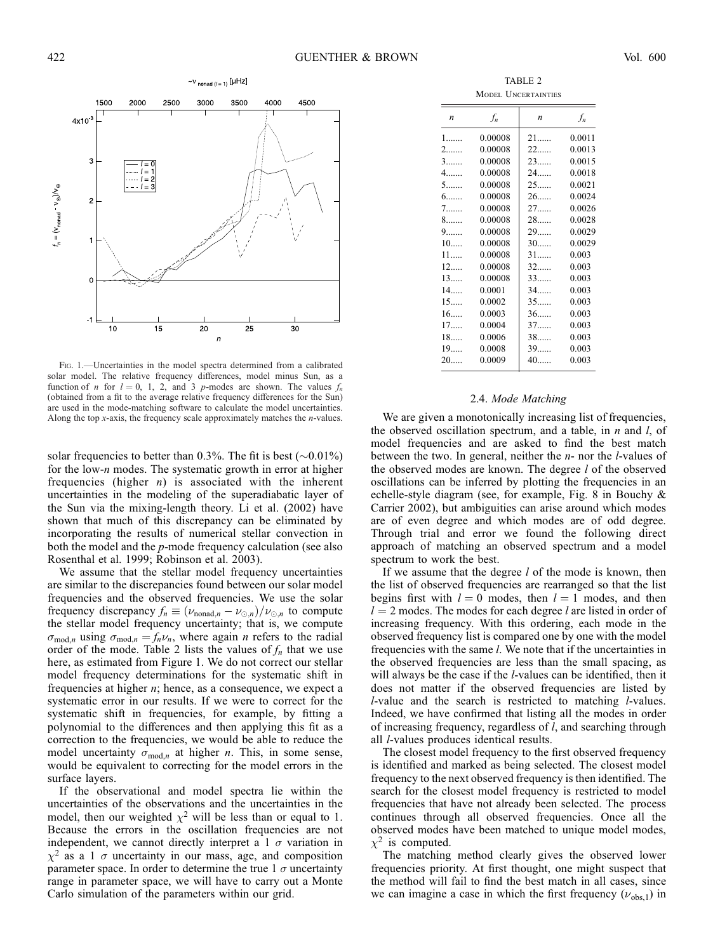

Fig. 1.—Uncertainties in the model spectra determined from a calibrated solar model. The relative frequency differences, model minus Sun, as a function of n for  $l = 0, 1, 2,$  and 3 p-modes are shown. The values  $f_n$ (obtained from a fit to the average relative frequency differences for the Sun) are used in the mode-matching software to calculate the model uncertainties. Along the top  $x$ -axis, the frequency scale approximately matches the  $n$ -values.

solar frequencies to better than 0.3%. The fit is best  $(\sim 0.01\%)$ for the low- $n$  modes. The systematic growth in error at higher frequencies (higher  $n$ ) is associated with the inherent uncertainties in the modeling of the superadiabatic layer of the Sun via the mixing-length theory. Li et al. (2002) have shown that much of this discrepancy can be eliminated by incorporating the results of numerical stellar convection in both the model and the  $p$ -mode frequency calculation (see also Rosenthal et al. 1999; Robinson et al. 2003).

We assume that the stellar model frequency uncertainties are similar to the discrepancies found between our solar model frequencies and the observed frequencies. We use the solar frequency discrepancy  $f_n \equiv (\nu_{\text{nonad},n} - \nu_{\odot,n})/\nu_{\odot,n}$  to compute the stellar model frequency uncertainty; that is, we compute  $\sigma_{\text{mod},n}$  using  $\sigma_{\text{mod},n} = f_n \nu_n$ , where again *n* refers to the radial order of the mode. Table 2 lists the values of  $f_n$  that we use here, as estimated from Figure 1. We do not correct our stellar model frequency determinations for the systematic shift in frequencies at higher  $n$ ; hence, as a consequence, we expect a systematic error in our results. If we were to correct for the systematic shift in frequencies, for example, by fitting a polynomial to the differences and then applying this fit as a correction to the frequencies, we would be able to reduce the model uncertainty  $\sigma_{mod,n}$  at higher *n*. This, in some sense, would be equivalent to correcting for the model errors in the surface layers.

If the observational and model spectra lie within the uncertainties of the observations and the uncertainties in the model, then our weighted  $\chi^2$  will be less than or equal to 1. Because the errors in the oscillation frequencies are not independent, we cannot directly interpret a 1  $\sigma$  variation in  $\chi^2$  as a 1  $\sigma$  uncertainty in our mass, age, and composition parameter space. In order to determine the true  $1 \sigma$  uncertainty range in parameter space, we will have to carry out a Monte Carlo simulation of the parameters within our grid.

TABLE 2 MODEL UNCERTAINTIES

| $\boldsymbol{n}$ | $f_n$   | n    | $f_n$  |
|------------------|---------|------|--------|
|                  | 0.00008 | $21$ | 0.0011 |
| 2                | 0.00008 | $22$ | 0.0013 |
| $3$              | 0.00008 | $23$ | 0.0015 |
| 4                | 0.00008 | $24$ | 0.0018 |
| $5$              | 0.00008 | 25   | 0.0021 |
| $6$              | 0.00008 | $26$ | 0.0024 |
| $7 \ldots$       | 0.00008 | 27   | 0.0026 |
| 8                | 0.00008 | 28   | 0.0028 |
| 9                | 0.00008 | $29$ | 0.0029 |
| 10               | 0.00008 | 30   | 0.0029 |
| 11               | 0.00008 | $31$ | 0.003  |
| 12               | 0.00008 | $32$ | 0.003  |
| 13               | 0.00008 | 33   | 0.003  |
| 14               | 0.0001  | $34$ | 0.003  |
| 15               | 0.0002  | 35   | 0.003  |
| 16               | 0.0003  | $36$ | 0.003  |
| 17               | 0.0004  | 37   | 0.003  |
| 18               | 0.0006  | 38   | 0.003  |
| 19               | 0.0008  | 39   | 0.003  |
| 20               | 0.0009  | 40   | 0.003  |
|                  |         |      |        |

#### 2.4. Mode Matching

We are given a monotonically increasing list of frequencies, the observed oscillation spectrum, and a table, in  $n$  and  $l$ , of model frequencies and are asked to find the best match between the two. In general, neither the  $n-$  nor the *l*-values of the observed modes are known. The degree  $l$  of the observed oscillations can be inferred by plotting the frequencies in an echelle-style diagram (see, for example, Fig. 8 in Bouchy & Carrier 2002), but ambiguities can arise around which modes are of even degree and which modes are of odd degree. Through trial and error we found the following direct approach of matching an observed spectrum and a model spectrum to work the best.

If we assume that the degree  $l$  of the mode is known, then the list of observed frequencies are rearranged so that the list begins first with  $l = 0$  modes, then  $l = 1$  modes, and then  $l = 2$  modes. The modes for each degree l are listed in order of increasing frequency. With this ordering, each mode in the observed frequency list is compared one by one with the model frequencies with the same l. We note that if the uncertainties in the observed frequencies are less than the small spacing, as will always be the case if the *l*-values can be identified, then it does not matter if the observed frequencies are listed by l-value and the search is restricted to matching l-values. Indeed, we have confirmed that listing all the modes in order of increasing frequency, regardless of l, and searching through all l-values produces identical results.

The closest model frequency to the first observed frequency is identified and marked as being selected. The closest model frequency to the next observed frequency is then identified. The search for the closest model frequency is restricted to model frequencies that have not already been selected. The process continues through all observed frequencies. Once all the observed modes have been matched to unique model modes,  $\chi^2$  is computed.

The matching method clearly gives the observed lower frequencies priority. At first thought, one might suspect that the method will fail to find the best match in all cases, since we can imagine a case in which the first frequency  $(\nu_{obs,1})$  in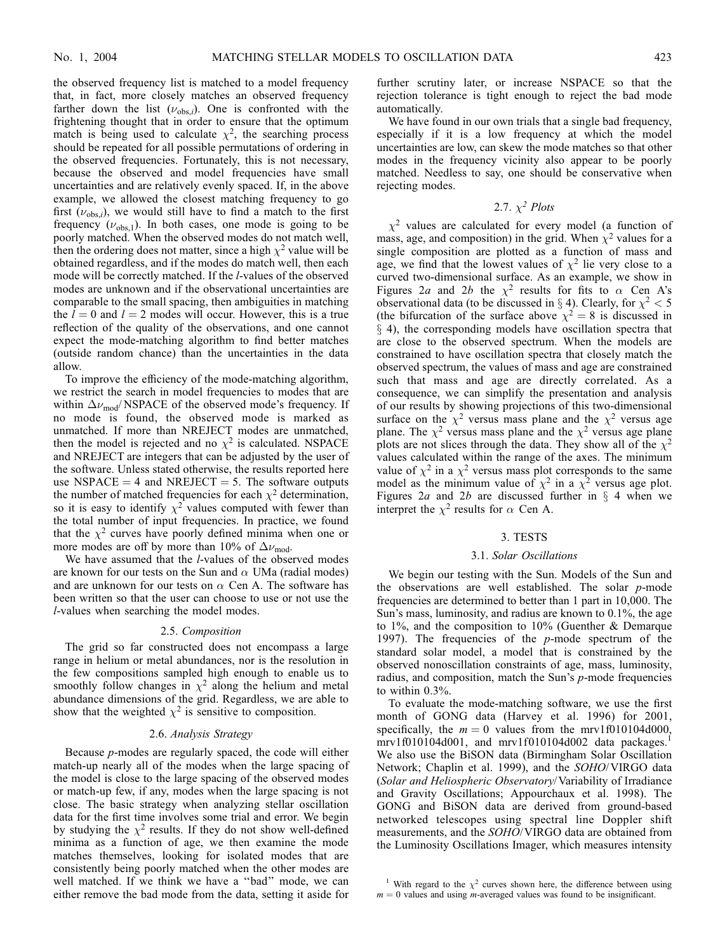the observed frequency list is matched to a model frequency that, in fact, more closely matches an observed frequency farther down the list  $(\nu_{obs,i})$ . One is confronted with the frightening thought that in order to ensure that the optimum match is being used to calculate  $\chi^2$ , the searching process should be repeated for all possible permutations of ordering in the observed frequencies. Fortunately, this is not necessary, because the observed and model frequencies have small uncertainties and are relatively evenly spaced. If, in the above example, we allowed the closest matching frequency to go first  $(\nu_{\text{obs},i})$ , we would still have to find a match to the first frequency  $(\nu_{obs,1})$ . In both cases, one mode is going to be poorly matched. When the observed modes do not match well, then the ordering does not matter, since a high  $\chi^2$  value will be obtained regardless, and if the modes do match well, then each mode will be correctly matched. If the l-values of the observed modes are unknown and if the observational uncertainties are comparable to the small spacing, then ambiguities in matching the  $l = 0$  and  $l = 2$  modes will occur. However, this is a true reflection of the quality of the observations, and one cannot expect the mode-matching algorithm to find better matches (outside random chance) than the uncertainties in the data allow.

To improve the efficiency of the mode-matching algorithm, we restrict the search in model frequencies to modes that are within  $\Delta\nu_{\text{mod}}$ / NSPACE of the observed mode's frequency. If no mode is found, the observed mode is marked as unmatched. If more than NREJECT modes are unmatched, then the model is rejected and no  $\chi^2$  is calculated. NSPACE and NREJECT are integers that can be adjusted by the user of the software. Unless stated otherwise, the results reported here use NSPACE  $=$  4 and NREJECT  $=$  5. The software outputs the number of matched frequencies for each  $\chi^2$  determination, so it is easy to identify  $\chi^2$  values computed with fewer than the total number of input frequencies. In practice, we found that the  $\chi^2$  curves have poorly defined minima when one or more modes are off by more than 10% of  $\Delta\nu_{\text{mod}}$ .

We have assumed that the *l*-values of the observed modes are known for our tests on the Sun and  $\alpha$  UMa (radial modes) and are unknown for our tests on  $\alpha$  Cen A. The software has been written so that the user can choose to use or not use the l-values when searching the model modes.

#### 2.5. Composition

The grid so far constructed does not encompass a large range in helium or metal abundances, nor is the resolution in the few compositions sampled high enough to enable us to smoothly follow changes in  $\chi^2$  along the helium and metal abundance dimensions of the grid. Regardless, we are able to show that the weighted  $\chi^2$  is sensitive to composition.

# 2.6. Analysis Strategy

Because p-modes are regularly spaced, the code will either match-up nearly all of the modes when the large spacing of the model is close to the large spacing of the observed modes or match-up few, if any, modes when the large spacing is not close. The basic strategy when analyzing stellar oscillation data for the first time involves some trial and error. We begin by studying the  $\chi^2$  results. If they do not show well-defined minima as a function of age, we then examine the mode matches themselves, looking for isolated modes that are consistently being poorly matched when the other modes are well matched. If we think we have a ''bad'' mode, we can either remove the bad mode from the data, setting it aside for further scrutiny later, or increase NSPACE so that the rejection tolerance is tight enough to reject the bad mode automatically.

We have found in our own trials that a single bad frequency, especially if it is a low frequency at which the model uncertainties are low, can skew the mode matches so that other modes in the frequency vicinity also appear to be poorly matched. Needless to say, one should be conservative when rejecting modes.

# 2.7.  $\chi^2$  Plots

 $\chi^2$  values are calculated for every model (a function of mass, age, and composition) in the grid. When  $\chi^2$  values for a single composition are plotted as a function of mass and age, we find that the lowest values of  $\chi^2$  lie very close to a curved two-dimensional surface. As an example, we show in Figures 2a and 2b the  $\chi^2$  results for fits to  $\alpha$  Cen A's observational data (to be discussed in § 4). Clearly, for  $\chi^2$  < 5 (the bifurcation of the surface above  $\chi^2 = 8$  is discussed in  $\S$  4), the corresponding models have oscillation spectra that are close to the observed spectrum. When the models are constrained to have oscillation spectra that closely match the observed spectrum, the values of mass and age are constrained such that mass and age are directly correlated. As a consequence, we can simplify the presentation and analysis of our results by showing projections of this two-dimensional surface on the  $\chi^2$  versus mass plane and the  $\chi^2$  versus age plane. The  $\chi^2$  versus mass plane and the  $\chi^2$  versus age plane plots are not slices through the data. They show all of the  $\chi^2$ values calculated within the range of the axes. The minimum value of  $\chi^2$  in a  $\chi^2$  versus mass plot corresponds to the same model as the minimum value of  $\chi^2$  in a  $\chi^2$  versus age plot. Figures 2a and 2b are discussed further in  $\S$  4 when we interpret the  $\chi^2$  results for  $\alpha$  Cen A.

# 3. TESTS

### 3.1. Solar Oscillations

We begin our testing with the Sun. Models of the Sun and the observations are well established. The solar  $p$ -mode frequencies are determined to better than 1 part in 10,000. The Sun's mass, luminosity, and radius are known to 0.1%, the age to 1%, and the composition to 10% (Guenther & Demarque 1997). The frequencies of the  $p$ -mode spectrum of the standard solar model, a model that is constrained by the observed nonoscillation constraints of age, mass, luminosity, radius, and composition, match the Sun's  $p$ -mode frequencies to within 0.3%.

To evaluate the mode-matching software, we use the first month of GONG data (Harvey et al. 1996) for 2001, specifically, the  $m = 0$  values from the mrv1f010104d000,  $mrv1f010104d001$ , and  $mrv1f010104d002$  data packages. We also use the BiSON data (Birmingham Solar Oscillation Network; Chaplin et al. 1999), and the SOHO/VIRGO data (Solar and Heliospheric Observatory/Variability of Irradiance and Gravity Oscillations; Appourchaux et al. 1998). The GONG and BiSON data are derived from ground-based networked telescopes using spectral line Doppler shift measurements, and the SOHO/VIRGO data are obtained from the Luminosity Oscillations Imager, which measures intensity

<sup>&</sup>lt;sup>1</sup> With regard to the  $\chi^2$  curves shown here, the difference between using  $m = 0$  values and using *m*-averaged values was found to be insignificant.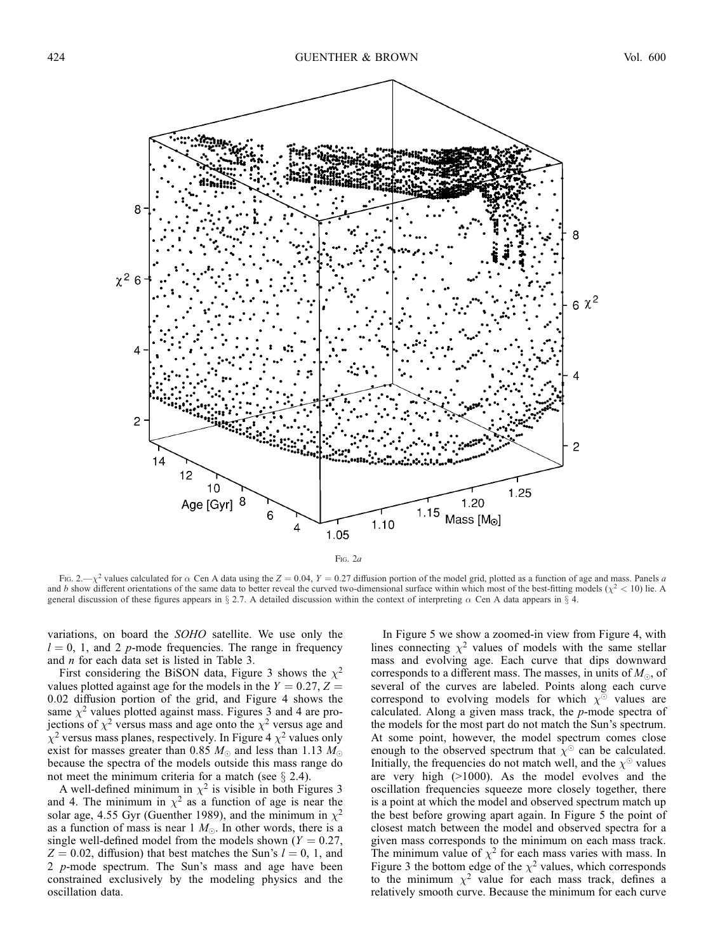

Fig. 2.— $\chi^2$  values calculated for  $\alpha$  Cen A data using the Z = 0.04, Y = 0.27 diffusion portion of the model grid, plotted as a function of age and mass. Panels a and b show different orientations of the same data to better reveal the curved two-dimensional surface within which most of the best-fitting models ( $\chi^2$  < 10) lie. A general discussion of these figures appears in  $\S 2.7$ . A detailed discussion within the context of interpreting  $\alpha$  Cen A data appears in  $\S 4$ .

variations, on board the SOHO satellite. We use only the  $l = 0, 1,$  and 2 p-mode frequencies. The range in frequency and n for each data set is listed in Table 3.

First considering the BiSON data, Figure 3 shows the  $\chi^2$ values plotted against age for the models in the  $Y = 0.27, Z =$ 0:02 diffusion portion of the grid, and Figure 4 shows the same  $\chi^2$  values plotted against mass. Figures 3 and 4 are projections of  $\chi^2$  versus mass and age onto the  $\chi^2$  versus age and  $\chi^2$  versus mass planes, respectively. In Figure 4  $\chi^2$  values only exist for masses greater than 0.85  $M_{\odot}$  and less than 1.13  $M_{\odot}$ because the spectra of the models outside this mass range do not meet the minimum criteria for a match (see  $\S$  2.4).

A well-defined minimum in  $\chi^2$  is visible in both Figures 3 and 4. The minimum in  $\chi^2$  as a function of age is near the solar age, 4.55 Gyr (Guenther 1989), and the minimum in  $\chi^2$ as a function of mass is near  $1 M_{\odot}$ . In other words, there is a single well-defined model from the models shown ( $Y = 0.27$ ,  $Z = 0.02$ , diffusion) that best matches the Sun's  $l = 0, 1$ , and 2 p-mode spectrum. The Sun's mass and age have been constrained exclusively by the modeling physics and the oscillation data.

In Figure 5 we show a zoomed-in view from Figure 4, with lines connecting  $\chi^2$  values of models with the same stellar mass and evolving age. Each curve that dips downward corresponds to a different mass. The masses, in units of  $M_{\odot}$ , of several of the curves are labeled. Points along each curve correspond to evolving models for which  $\chi^{\odot}$  values are calculated. Along a given mass track, the  $p$ -mode spectra of the models for the most part do not match the Sun's spectrum. At some point, however, the model spectrum comes close enough to the observed spectrum that  $\chi^{\odot}$  can be calculated. Initially, the frequencies do not match well, and the  $\chi^{\odot}$  values are very high (>1000). As the model evolves and the oscillation frequencies squeeze more closely together, there is a point at which the model and observed spectrum match up the best before growing apart again. In Figure 5 the point of closest match between the model and observed spectra for a given mass corresponds to the minimum on each mass track. The minimum value of  $\chi^2$  for each mass varies with mass. In Figure 3 the bottom edge of the  $\chi^2$  values, which corresponds to the minimum  $\chi^2$  value for each mass track, defines a relatively smooth curve. Because the minimum for each curve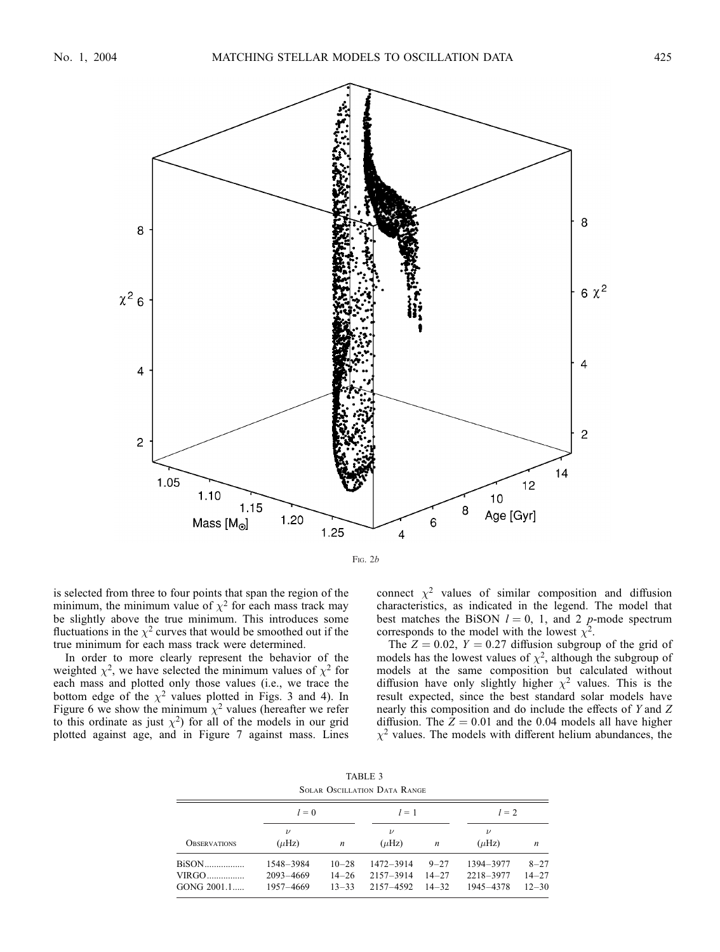



is selected from three to four points that span the region of the minimum, the minimum value of  $\chi^2$  for each mass track may be slightly above the true minimum. This introduces some fluctuations in the  $\chi^2$  curves that would be smoothed out if the true minimum for each mass track were determined.

In order to more clearly represent the behavior of the weighted  $\chi^2$ , we have selected the minimum values of  $\chi^2$  for each mass and plotted only those values (i.e., we trace the bottom edge of the  $\chi^2$  values plotted in Figs. 3 and 4). In Figure 6 we show the minimum  $\chi^2$  values (hereafter we refer to this ordinate as just  $\chi^2$ ) for all of the models in our grid plotted against age, and in Figure 7 against mass. Lines connect  $\chi^2$  values of similar composition and diffusion characteristics, as indicated in the legend. The model that best matches the BiSON  $l = 0, 1,$  and 2 p-mode spectrum corresponds to the model with the lowest  $\chi^2$ .

The  $Z = 0.02$ ,  $Y = 0.27$  diffusion subgroup of the grid of models has the lowest values of  $\chi^2$ , although the subgroup of models at the same composition but calculated without diffusion have only slightly higher  $\chi^2$  values. This is the result expected, since the best standard solar models have nearly this composition and do include the effects of Y and Z diffusion. The  $Z = 0.01$  and the 0.04 models all have higher  $\chi^2$  values. The models with different helium abundances, the

| TABLE 3                             |  |
|-------------------------------------|--|
| <b>SOLAR OSCILLATION DATA RANGE</b> |  |

|                               | $l = 0$                             |                                     | $l = 1$                             |                                    | $l = 2$                             |                                    |
|-------------------------------|-------------------------------------|-------------------------------------|-------------------------------------|------------------------------------|-------------------------------------|------------------------------------|
| <b>OBSERVATIONS</b>           | $\nu$<br>$(\mu Hz)$                 | $\boldsymbol{n}$                    | $\nu$<br>$(\mu Hz)$                 | $\boldsymbol{n}$                   | $\nu$<br>$(\mu Hz)$                 | n                                  |
| BiSON<br>VIRGO<br>GONG 2001.1 | 1548-3984<br>2093-4669<br>1957-4669 | $10 - 28$<br>$14 - 26$<br>$13 - 33$ | 1472-3914<br>2157-3914<br>2157-4592 | $9 - 27$<br>$14 - 27$<br>$14 - 32$ | 1394-3977<br>2218-3977<br>1945-4378 | $8 - 27$<br>$14 - 27$<br>$12 - 30$ |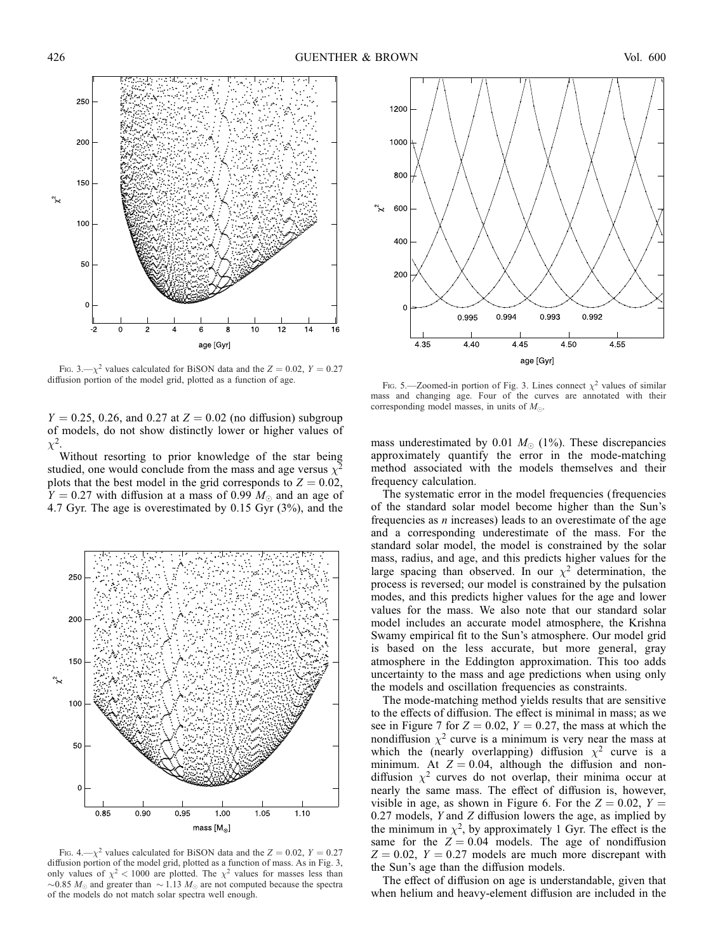

Fig. 3.— $\chi^2$  values calculated for BiSON data and the  $Z = 0.02$ ,  $Y = 0.27$ diffusion portion of the model grid, plotted as a function of age.

 $Y = 0.25$ , 0.26, and 0.27 at  $Z = 0.02$  (no diffusion) subgroup of models, do not show distinctly lower or higher values of  $\chi^2$ 

Without resorting to prior knowledge of the star being studied, one would conclude from the mass and age versus  $\chi^2$ plots that the best model in the grid corresponds to  $Z = 0.02$ ,  $Y = 0.27$  with diffusion at a mass of 0.99  $M_{\odot}$  and an age of 4.7 Gyr. The age is overestimated by 0.15 Gyr (3%), and the



Fig. 4.— $\chi^2$  values calculated for BiSON data and the  $Z = 0.02$ ,  $Y = 0.27$ diffusion portion of the model grid, plotted as a function of mass. As in Fig. 3, only values of  $\chi^2$  < 1000 are plotted. The  $\chi^2$  values for masses less than  $\sim$ 0.85  $M_{\odot}$  and greater than  $\sim$  1.13  $M_{\odot}$  are not computed because the spectra of the models do not match solar spectra well enough.



Fig. 5.—Zoomed-in portion of Fig. 3. Lines connect  $\chi^2$  values of similar mass and changing age. Four of the curves are annotated with their corresponding model masses, in units of  $M_{\odot}$ .

mass underestimated by 0.01  $M_{\odot}$  (1%). These discrepancies approximately quantify the error in the mode-matching method associated with the models themselves and their frequency calculation.

The systematic error in the model frequencies (frequencies of the standard solar model become higher than the Sun's frequencies as  $n$  increases) leads to an overestimate of the age and a corresponding underestimate of the mass. For the standard solar model, the model is constrained by the solar mass, radius, and age, and this predicts higher values for the large spacing than observed. In our  $\chi^2$  determination, the process is reversed; our model is constrained by the pulsation modes, and this predicts higher values for the age and lower values for the mass. We also note that our standard solar model includes an accurate model atmosphere, the Krishna Swamy empirical fit to the Sun's atmosphere. Our model grid is based on the less accurate, but more general, gray atmosphere in the Eddington approximation. This too adds uncertainty to the mass and age predictions when using only the models and oscillation frequencies as constraints.

The mode-matching method yields results that are sensitive to the effects of diffusion. The effect is minimal in mass; as we see in Figure 7 for  $Z = 0.02$ ,  $Y = 0.27$ , the mass at which the nondiffusion  $\chi^2$  curve is a minimum is very near the mass at which the (nearly overlapping) diffusion  $\chi^2$  curve is a minimum. At  $Z = 0.04$ , although the diffusion and nondiffusion  $\chi^2$  curves do not overlap, their minima occur at nearly the same mass. The effect of diffusion is, however, visible in age, as shown in Figure 6. For the  $Z = 0.02$ ,  $Y =$ 0:27 models, Y and Z diffusion lowers the age, as implied by the minimum in  $\chi^2$ , by approximately 1 Gyr. The effect is the same for the  $Z = 0.04$  models. The age of nondiffusion  $Z = 0.02$ ,  $Y = 0.27$  models are much more discrepant with the Sun's age than the diffusion models.

The effect of diffusion on age is understandable, given that when helium and heavy-element diffusion are included in the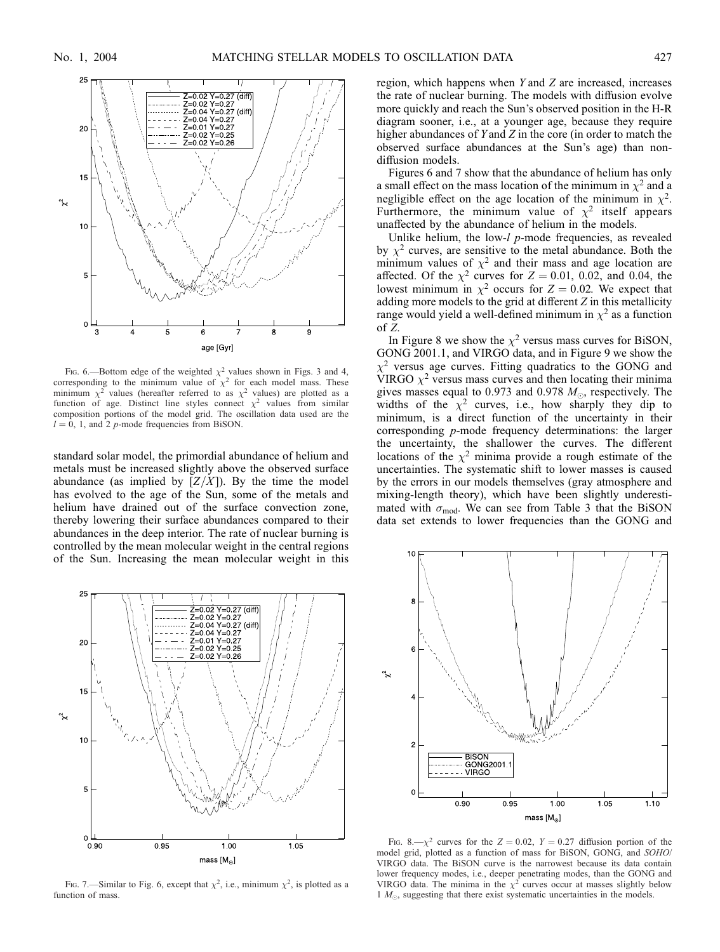

Fig. 6.—Bottom edge of the weighted  $\chi^2$  values shown in Figs. 3 and 4, corresponding to the minimum value of  $\chi^2$  for each model mass. These minimum  $\chi^2$  values (hereafter referred to as  $\chi^2$  values) are plotted as a function of age. Distinct line styles connect  $\chi^2$  values from similar composition portions of the model grid. The oscillation data used are the  $l = 0$ , 1, and 2 p-mode frequencies from BiSON.

standard solar model, the primordial abundance of helium and metals must be increased slightly above the observed surface abundance (as implied by  $[Z/X]$ ). By the time the model has evolved to the age of the Sun, some of the metals and helium have drained out of the surface convection zone, thereby lowering their surface abundances compared to their abundances in the deep interior. The rate of nuclear burning is controlled by the mean molecular weight in the central regions of the Sun. Increasing the mean molecular weight in this

region, which happens when Y and Z are increased, increases the rate of nuclear burning. The models with diffusion evolve more quickly and reach the Sun's observed position in the H-R diagram sooner, i.e., at a younger age, because they require higher abundances of  $Y$  and  $Z$  in the core (in order to match the observed surface abundances at the Sun's age) than nondiffusion models.

Figures 6 and 7 show that the abundance of helium has only a small effect on the mass location of the minimum in  $\chi^2$  and a negligible effect on the age location of the minimum in  $\chi^2$ . Furthermore, the minimum value of  $\chi^2$  itself appears unaffected by the abundance of helium in the models.

Unlike helium, the low- $l$  p-mode frequencies, as revealed by  $\chi^2$  curves, are sensitive to the metal abundance. Both the minimum values of  $\chi^2$  and their mass and age location are affected. Of the  $\chi^2$  curves for  $Z = 0.01, 0.02,$  and 0.04, the lowest minimum in  $\chi^2$  occurs for  $Z = 0.02$ . We expect that adding more models to the grid at different  $Z$  in this metallicity range would yield a well-defined minimum in  $\chi^2$  as a function of Z.

In Figure 8 we show the  $\chi^2$  versus mass curves for BiSON, GONG 2001.1, and VIRGO data, and in Figure 9 we show the  $\chi^2$  versus age curves. Fitting quadratics to the GONG and VIRGO  $\chi^2$  versus mass curves and then locating their minima gives masses equal to 0.973 and 0.978  $M_{\odot}$ , respectively. The widths of the  $\chi^2$  curves, i.e., how sharply they dip to minimum, is a direct function of the uncertainty in their corresponding p-mode frequency determinations: the larger the uncertainty, the shallower the curves. The different locations of the  $\chi^2$  minima provide a rough estimate of the uncertainties. The systematic shift to lower masses is caused by the errors in our models themselves (gray atmosphere and mixing-length theory), which have been slightly underestimated with  $\sigma_{\text{mod}}$ . We can see from Table 3 that the BiSON data set extends to lower frequencies than the GONG and



Fig. 7.—Similar to Fig. 6, except that  $\chi^2$ , i.e., minimum  $\chi^2$ , is plotted as a function of mass.



FIG. 8.— $\chi^2$  curves for the Z = 0.02, Y = 0.27 diffusion portion of the model grid, plotted as a function of mass for BiSON, GONG, and SOHO/ VIRGO data. The BiSON curve is the narrowest because its data contain lower frequency modes, i.e., deeper penetrating modes, than the GONG and VIRGO data. The minima in the  $\chi^2$  curves occur at masses slightly below  $1 M_{\odot}$ , suggesting that there exist systematic uncertainties in the models.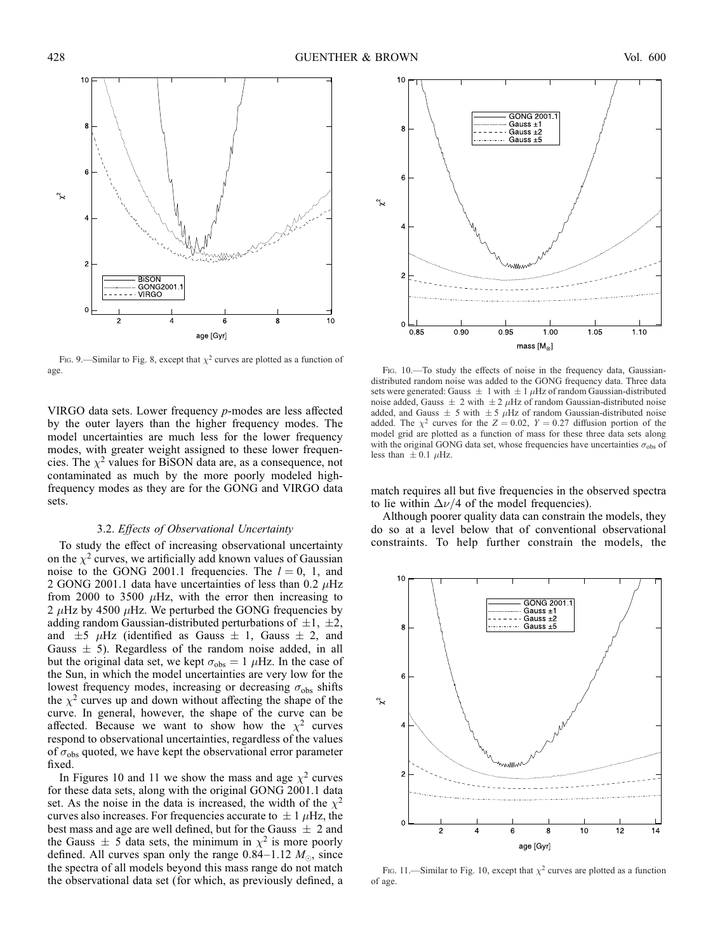

Fig. 9.—Similar to Fig. 8, except that  $\chi^2$  curves are plotted as a function of age. Fig. 10.—To study the effects of noise in the frequency data, Gaussian-

VIRGO data sets. Lower frequency p-modes are less affected by the outer layers than the higher frequency modes. The model uncertainties are much less for the lower frequency modes, with greater weight assigned to these lower frequencies. The  $\chi^2$  values for BiSON data are, as a consequence, not contaminated as much by the more poorly modeled highfrequency modes as they are for the GONG and VIRGO data sets.

### 3.2. E*ff*ects of Observational Uncertainty

To study the effect of increasing observational uncertainty on the  $\chi^2$  curves, we artificially add known values of Gaussian noise to the GONG 2001.1 frequencies. The  $l = 0, 1,$  and 2 GONG 2001.1 data have uncertainties of less than 0.2  $\mu$ Hz from 2000 to 3500  $\mu$ Hz, with the error then increasing to 2  $\mu$ Hz by 4500  $\mu$ Hz. We perturbed the GONG frequencies by adding random Gaussian-distributed perturbations of  $\pm 1$ ,  $\pm 2$ , and  $\pm 5$   $\mu$ Hz (identified as Gauss  $\pm$  1, Gauss  $\pm$  2, and Gauss  $\pm$  5). Regardless of the random noise added, in all but the original data set, we kept  $\sigma_{obs} = 1 \mu Hz$ . In the case of the Sun, in which the model uncertainties are very low for the lowest frequency modes, increasing or decreasing  $\sigma_{\text{obs}}$  shifts the  $\chi^2$  curves up and down without affecting the shape of the curve. In general, however, the shape of the curve can be affected. Because we want to show how the  $\chi^2$  curves respond to observational uncertainties, regardless of the values of  $\sigma_{obs}$  quoted, we have kept the observational error parameter fixed.

In Figures 10 and 11 we show the mass and age  $\chi^2$  curves for these data sets, along with the original GONG 2001.1 data set. As the noise in the data is increased, the width of the  $\chi^2$ curves also increases. For frequencies accurate to  $\pm 1 \mu$ Hz, the best mass and age are well defined, but for the Gauss  $\pm$  2 and the Gauss  $\pm$  5 data sets, the minimum in  $\chi^2$  is more poorly defined. All curves span only the range  $0.84-1.12$   $M_{\odot}$ , since the spectra of all models beyond this mass range do not match the observational data set (for which, as previously defined, a



distributed random noise was added to the GONG frequency data. Three data sets were generated: Gauss  $\pm 1$  with  $\pm 1$   $\mu$ Hz of random Gaussian-distributed noise added, Gauss  $\pm$  2 with  $\pm$  2  $\mu$ Hz of random Gaussian-distributed noise added, and Gauss  $\pm$  5 with  $\pm$  5  $\mu$ Hz of random Gaussian-distributed noise added. The  $\chi^2$  curves for the  $Z = 0.02$ ,  $Y = 0.27$  diffusion portion of the model grid are plotted as a function of mass for these three data sets along with the original GONG data set, whose frequencies have uncertainties  $\sigma_{obs}$  of less than  $\pm 0.1$   $\mu$ Hz.

match requires all but five frequencies in the observed spectra to lie within  $\Delta \nu/4$  of the model frequencies).

Although poorer quality data can constrain the models, they do so at a level below that of conventional observational constraints. To help further constrain the models, the



Fig. 11.—Similar to Fig. 10, except that  $\chi^2$  curves are plotted as a function of age.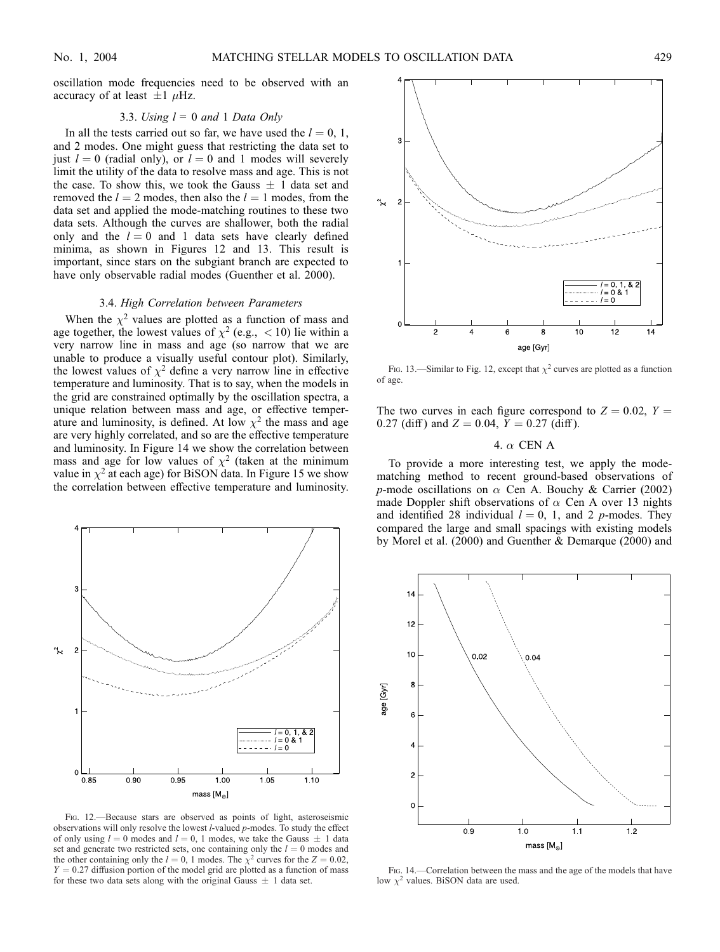oscillation mode frequencies need to be observed with an accuracy of at least  $\pm 1$   $\mu$ Hz.

# 3.3. Using  $l = 0$  and 1 Data Only

In all the tests carried out so far, we have used the  $l = 0, 1$ , and 2 modes. One might guess that restricting the data set to just  $l = 0$  (radial only), or  $l = 0$  and 1 modes will severely limit the utility of the data to resolve mass and age. This is not the case. To show this, we took the Gauss  $\pm$  1 data set and removed the  $l = 2$  modes, then also the  $l = 1$  modes, from the data set and applied the mode-matching routines to these two data sets. Although the curves are shallower, both the radial only and the  $l = 0$  and 1 data sets have clearly defined minima, as shown in Figures 12 and 13. This result is important, since stars on the subgiant branch are expected to have only observable radial modes (Guenther et al. 2000).

# 3.4. High Correlation between Parameters

When the  $\chi^2$  values are plotted as a function of mass and age together, the lowest values of  $\chi^2$  (e.g., < 10) lie within a very narrow line in mass and age (so narrow that we are unable to produce a visually useful contour plot). Similarly, the lowest values of  $\chi^2$  define a very narrow line in effective temperature and luminosity. That is to say, when the models in the grid are constrained optimally by the oscillation spectra, a unique relation between mass and age, or effective temperature and luminosity, is defined. At low  $\chi^2$  the mass and age are very highly correlated, and so are the effective temperature and luminosity. In Figure 14 we show the correlation between mass and age for low values of  $\chi^2$  (taken at the minimum value in  $\chi^2$  at each age) for BiSON data. In Figure 15 we show the correlation between effective temperature and luminosity.



Fig. 12.—Because stars are observed as points of light, asteroseismic observations will only resolve the lowest l-valued p-modes. To study the effect of only using  $l = 0$  modes and  $l = 0$ , 1 modes, we take the Gauss  $\pm$  1 data set and generate two restricted sets, one containing only the  $l = 0$  modes and the other containing only the  $l = 0$ , 1 modes. The  $\chi^2$  curves for the  $Z = 0.02$ ,  $Y = 0.27$  diffusion portion of the model grid are plotted as a function of mass for these two data sets along with the original Gauss  $\pm$  1 data set.



Fig. 13.—Similar to Fig. 12, except that  $\chi^2$  curves are plotted as a function of age.

The two curves in each figure correspond to  $Z = 0.02$ ,  $Y =$ 0.27 (diff) and  $Z = 0.04$ ,  $Y = 0.27$  (diff).

### 4.  $\alpha$  CEN A

To provide a more interesting test, we apply the modematching method to recent ground-based observations of p-mode oscillations on  $\alpha$  Cen A. Bouchy & Carrier (2002) made Doppler shift observations of  $\alpha$  Cen A over 13 nights and identified 28 individual  $l = 0, 1$ , and 2 p-modes. They compared the large and small spacings with existing models by Morel et al. (2000) and Guenther & Demarque (2000) and



Fig. 14.—Correlation between the mass and the age of the models that have low  $\chi^2$  values. BiSON data are used.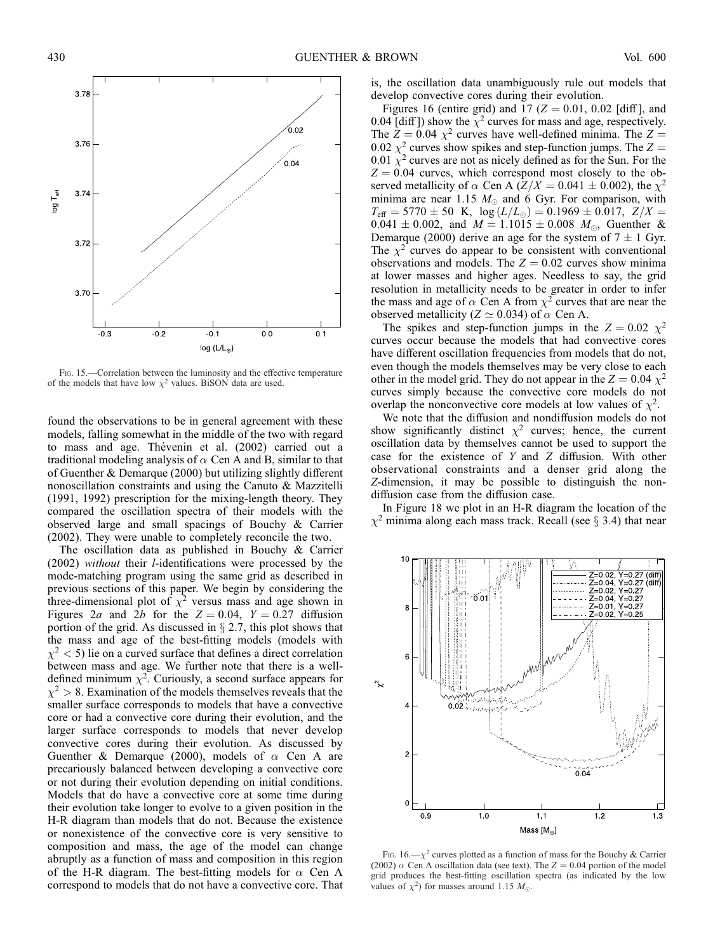

FIG. 15.—Correlation between the luminosity and the effective temperature of the models that have low  $\chi^2$  values. BiSON data are used.

found the observations to be in general agreement with these models, falling somewhat in the middle of the two with regard to mass and age. Thévenin et al. (2002) carried out a traditional modeling analysis of  $\alpha$  Cen A and B, similar to that of Guenther & Demarque (2000) but utilizing slightly different nonoscillation constraints and using the Canuto & Mazzitelli (1991, 1992) prescription for the mixing-length theory. They compared the oscillation spectra of their models with the observed large and small spacings of Bouchy & Carrier (2002). They were unable to completely reconcile the two.

The oscillation data as published in Bouchy & Carrier (2002) without their l-identifications were processed by the mode-matching program using the same grid as described in previous sections of this paper. We begin by considering the three-dimensional plot of  $\chi^2$  versus mass and age shown in Figures 2a and 2b for the  $Z = 0.04$ ,  $Y = 0.27$  diffusion portion of the grid. As discussed in  $\S 2.7$ , this plot shows that the mass and age of the best-fitting models (models with  $\chi^2$  < 5) lie on a curved surface that defines a direct correlation between mass and age. We further note that there is a welldefined minimum  $\chi^2$ . Curiously, a second surface appears for  $\chi^2 > 8$ . Examination of the models themselves reveals that the smaller surface corresponds to models that have a convective core or had a convective core during their evolution, and the larger surface corresponds to models that never develop convective cores during their evolution. As discussed by Guenther & Demarque (2000), models of  $\alpha$  Cen A are precariously balanced between developing a convective core or not during their evolution depending on initial conditions. Models that do have a convective core at some time during their evolution take longer to evolve to a given position in the H-R diagram than models that do not. Because the existence or nonexistence of the convective core is very sensitive to composition and mass, the age of the model can change abruptly as a function of mass and composition in this region of the H-R diagram. The best-fitting models for  $\alpha$  Cen A correspond to models that do not have a convective core. That

is, the oscillation data unambiguously rule out models that develop convective cores during their evolution.

Figures 16 (entire grid) and 17 ( $Z = 0.01$ , 0.02 [diff], and 0.04 [diff]) show the  $\chi^2$  curves for mass and age, respectively. The  $Z = 0.04 \chi^2$  curves have well-defined minima. The  $Z =$ 0.02  $\chi^2$  curves show spikes and step-function jumps. The Z = 0.01  $\chi^2$  curves are not as nicely defined as for the Sun. For the  $Z = 0.04$  curves, which correspond most closely to the observed metallicity of  $\alpha$  Cen A ( $Z/X = 0.041 \pm 0.002$ ), the  $\chi^2$ minima are near 1.15  $M_{\odot}$  and 6 Gyr. For comparison, with  $T_{\text{eff}} = 5770 \pm 50 \text{ K}, \ \log (L/L_{\odot}) = 0.1969 \pm 0.017, \ Z/X =$  $0.041 \pm 0.002$ , and  $M = 1.1015 \pm 0.008$   $M_{\odot}$ , Guenther & Demarque (2000) derive an age for the system of  $7 \pm 1$  Gyr. The  $\chi^2$  curves do appear to be consistent with conventional observations and models. The  $Z = 0.02$  curves show minima at lower masses and higher ages. Needless to say, the grid resolution in metallicity needs to be greater in order to infer the mass and age of  $\alpha$  Cen A from  $\chi^2$  curves that are near the observed metallicity ( $Z \simeq 0.034$ ) of  $\alpha$  Cen A.

The spikes and step-function jumps in the  $Z = 0.02 \chi^2$ curves occur because the models that had convective cores have different oscillation frequencies from models that do not, even though the models themselves may be very close to each other in the model grid. They do not appear in the  $Z = 0.04 \chi^2$ curves simply because the convective core models do not overlap the nonconvective core models at low values of  $\chi^2$ .

We note that the diffusion and nondiffusion models do not show significantly distinct  $\chi^2$  curves; hence, the current oscillation data by themselves cannot be used to support the case for the existence of Y and Z diffusion. With other observational constraints and a denser grid along the Z-dimension, it may be possible to distinguish the nondiffusion case from the diffusion case.

In Figure 18 we plot in an H-R diagram the location of the  $\chi^2$  minima along each mass track. Recall (see § 3.4) that near



Fig. 16.— $\chi^2$  curves plotted as a function of mass for the Bouchy & Carrier (2002)  $\alpha$  Cen A oscillation data (see text). The  $Z = 0.04$  portion of the model grid produces the best-fitting oscillation spectra (as indicated by the low values of  $\chi^2$ ) for masses around 1.15  $M_{\odot}$ .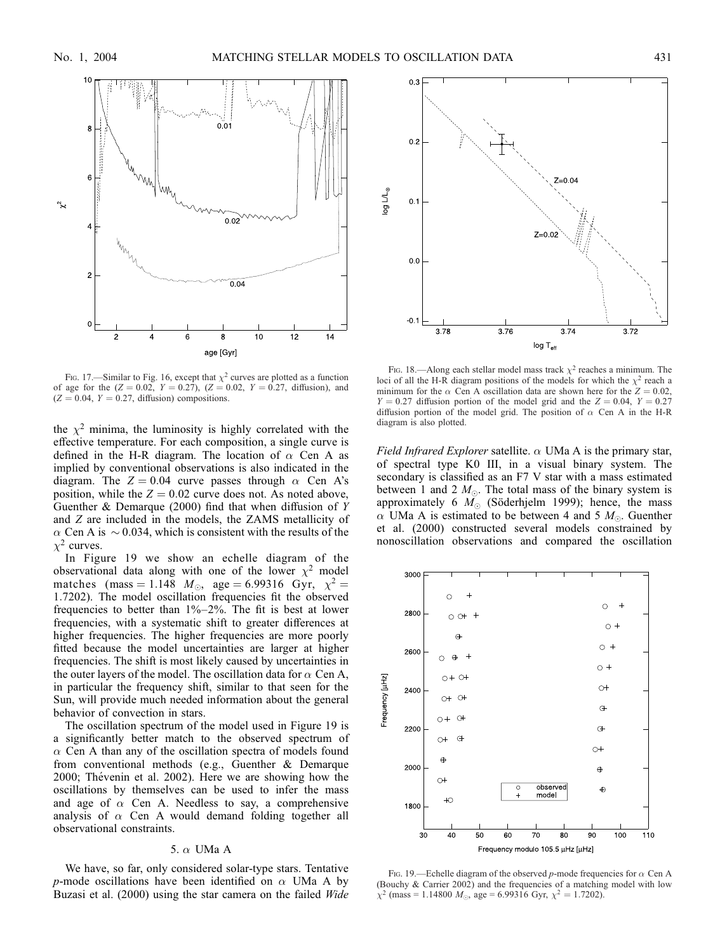

Fig. 17.—Similar to Fig. 16, except that  $\chi^2$  curves are plotted as a function of age for the  $(Z = 0.02, Y = 0.27)$ ,  $(Z = 0.02, Y = 0.27,$  diffusion), and  $(Z = 0.04, Y = 0.27,$  diffusion) compositions.

the  $\chi^2$  minima, the luminosity is highly correlated with the effective temperature. For each composition, a single curve is defined in the H-R diagram. The location of  $\alpha$  Cen A as implied by conventional observations is also indicated in the diagram. The  $Z = 0.04$  curve passes through  $\alpha$  Cen A's position, while the  $Z = 0.02$  curve does not. As noted above, Guenther  $\&$  Demarque (2000) find that when diffusion of Y and Z are included in the models, the ZAMS metallicity of  $\alpha$  Cen A is  $\sim$  0.034, which is consistent with the results of the  $\chi^2$  curves.

In Figure 19 we show an echelle diagram of the observational data along with one of the lower  $\chi^2$  model matches (mass = 1.148  $M_{\odot}$ , age = 6.99316 Gyr,  $\chi^2$  = 1:7202). The model oscillation frequencies fit the observed frequencies to better than 1%–2%. The fit is best at lower frequencies, with a systematic shift to greater differences at higher frequencies. The higher frequencies are more poorly fitted because the model uncertainties are larger at higher frequencies. The shift is most likely caused by uncertainties in the outer layers of the model. The oscillation data for  $\alpha$  Cen A, in particular the frequency shift, similar to that seen for the Sun, will provide much needed information about the general behavior of convection in stars.

The oscillation spectrum of the model used in Figure 19 is a significantly better match to the observed spectrum of  $\alpha$  Cen A than any of the oscillation spectra of models found from conventional methods (e.g., Guenther & Demarque 2000; Thévenin et al. 2002). Here we are showing how the oscillations by themselves can be used to infer the mass and age of  $\alpha$  Cen A. Needless to say, a comprehensive analysis of  $\alpha$  Cen A would demand folding together all observational constraints.

### 5.  $\alpha$  UMa A

We have, so far, only considered solar-type stars. Tentative p-mode oscillations have been identified on  $\alpha$  UMa A by Buzasi et al. (2000) using the star camera on the failed Wide



Fig. 18.—Along each stellar model mass track  $\chi^2$  reaches a minimum. The loci of all the H-R diagram positions of the models for which the  $\chi^2$  reach a minimum for the  $\alpha$  Cen A oscillation data are shown here for the  $Z = 0.02$ ,  $Y = 0.27$  diffusion portion of the model grid and the  $Z = 0.04$ ,  $Y = 0.27$ diffusion portion of the model grid. The position of  $\alpha$  Cen A in the H-R diagram is also plotted.

Field Infrared Explorer satellite.  $\alpha$  UMa A is the primary star, of spectral type K0 III, in a visual binary system. The secondary is classified as an F7 V star with a mass estimated between 1 and 2  $M_{\odot}$ . The total mass of the binary system is approximately 6  $M_{\odot}$  (Söderhjelm 1999); hence, the mass  $\alpha$  UMa A is estimated to be between 4 and 5  $M_{\odot}$ . Guenther et al. (2000) constructed several models constrained by nonoscillation observations and compared the oscillation



FIG. 19.—Echelle diagram of the observed p-mode frequencies for  $\alpha$  Cen A (Bouchy & Carrier 2002) and the frequencies of a matching model with low  $\chi^2$  (mass = 1.14800  $M_{\odot}$ , age = 6.99316 Gyr,  $\chi^2$  = 1.7202).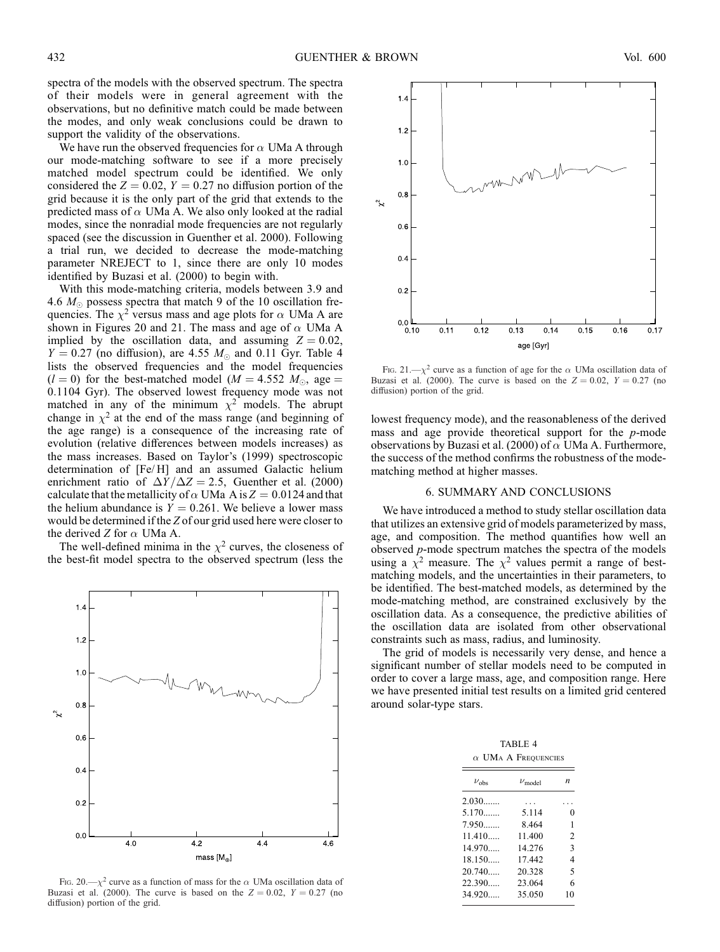spectra of the models with the observed spectrum. The spectra of their models were in general agreement with the observations, but no definitive match could be made between the modes, and only weak conclusions could be drawn to support the validity of the observations.

We have run the observed frequencies for  $\alpha$  UMa A through our mode-matching software to see if a more precisely matched model spectrum could be identified. We only considered the  $Z = 0.02$ ,  $Y = 0.27$  no diffusion portion of the grid because it is the only part of the grid that extends to the predicted mass of  $\alpha$  UMa A. We also only looked at the radial modes, since the nonradial mode frequencies are not regularly spaced (see the discussion in Guenther et al. 2000). Following a trial run, we decided to decrease the mode-matching parameter NREJECT to 1, since there are only 10 modes identified by Buzasi et al. (2000) to begin with.

With this mode-matching criteria, models between 3.9 and 4.6  $M_{\odot}$  possess spectra that match 9 of the 10 oscillation frequencies. The  $\chi^2$  versus mass and age plots for  $\alpha$  UMa A are shown in Figures 20 and 21. The mass and age of  $\alpha$  UMa A implied by the oscillation data, and assuming  $Z = 0.02$ ,  $Y = 0.27$  (no diffusion), are 4.55  $M_{\odot}$  and 0.11 Gyr. Table 4 lists the observed frequencies and the model frequencies  $(l = 0)$  for the best-matched model  $(M = 4.552$   $M_{\odot}$ , age = 0:1104 Gyr). The observed lowest frequency mode was not matched in any of the minimum  $\chi^2$  models. The abrupt change in  $\chi^2$  at the end of the mass range (and beginning of the age range) is a consequence of the increasing rate of evolution (relative differences between models increases) as the mass increases. Based on Taylor's (1999) spectroscopic determination of [Fe/ H] and an assumed Galactic helium enrichment ratio of  $\Delta Y/\Delta Z = 2.5$ , Guenther et al. (2000) calculate that the metallicity of  $\alpha$  UMa A is  $Z = 0.0124$  and that the helium abundance is  $Y = 0.261$ . We believe a lower mass would be determined if the Z of our grid used here were closer to the derived Z for  $\alpha$  UMa A.

The well-defined minima in the  $\chi^2$  curves, the closeness of the best-fit model spectra to the observed spectrum (less the



FIG. 20.— $\chi^2$  curve as a function of mass for the  $\alpha$  UMa oscillation data of Buzasi et al. (2000). The curve is based on the  $Z = 0.02$ ,  $Y = 0.27$  (no diffusion) portion of the grid.



FIG. 21.— $\chi^2$  curve as a function of age for the  $\alpha$  UMa oscillation data of Buzasi et al. (2000). The curve is based on the  $Z = 0.02$ ,  $Y = 0.27$  (no diffusion) portion of the grid.

lowest frequency mode), and the reasonableness of the derived mass and age provide theoretical support for the p-mode observations by Buzasi et al. (2000) of  $\alpha$  UMa A. Furthermore, the success of the method confirms the robustness of the modematching method at higher masses.

### 6. SUMMARY AND CONCLUSIONS

We have introduced a method to study stellar oscillation data that utilizes an extensive grid of models parameterized by mass, age, and composition. The method quantifies how well an observed  $p$ -mode spectrum matches the spectra of the models using a  $\chi^2$  measure. The  $\chi^2$  values permit a range of bestmatching models, and the uncertainties in their parameters, to be identified. The best-matched models, as determined by the mode-matching method, are constrained exclusively by the oscillation data. As a consequence, the predictive abilities of the oscillation data are isolated from other observational constraints such as mass, radius, and luminosity.

The grid of models is necessarily very dense, and hence a significant number of stellar models need to be computed in order to cover a large mass, age, and composition range. Here we have presented initial test results on a limited grid centered around solar-type stars.

TABLE 4  $\alpha$  UMa A Frequencies

| $\nu_{\rm obs}$ | $\nu_{\text{model}}$ | n              |
|-----------------|----------------------|----------------|
| 2.030           |                      |                |
| 5.170           | 5.114                | 0              |
| 7.950           | 8464                 | 1              |
| 11.410          | 11 400               | $\mathfrak{D}$ |
| 14 970          | 14 276               | 3              |
| 18.150          | 17442                | 4              |
| 20.740          | 20.328               | 5              |
| 22.390          | 23.064               | 6              |
| 34.920          | 35.050               | 10             |
|                 |                      |                |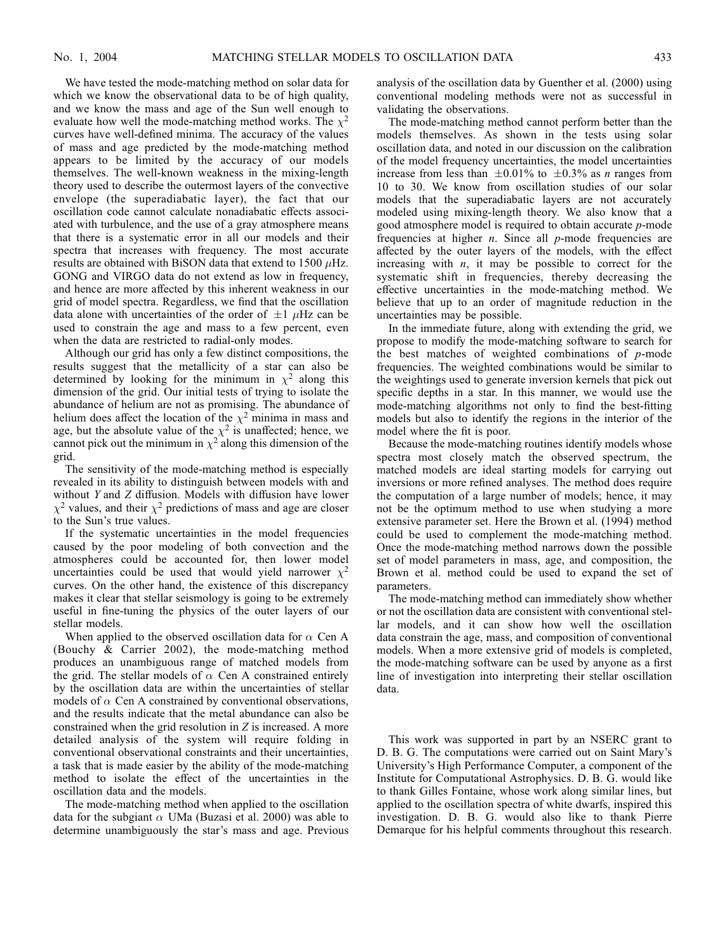We have tested the mode-matching method on solar data for which we know the observational data to be of high quality, and we know the mass and age of the Sun well enough to evaluate how well the mode-matching method works. The  $\chi^2$ curves have well-defined minima. The accuracy of the values of mass and age predicted by the mode-matching method appears to be limited by the accuracy of our models themselves. The well-known weakness in the mixing-length theory used to describe the outermost layers of the convective envelope (the superadiabatic layer), the fact that our oscillation code cannot calculate nonadiabatic effects associated with turbulence, and the use of a gray atmosphere means that there is a systematic error in all our models and their spectra that increases with frequency. The most accurate results are obtained with BiSON data that extend to  $1500 \mu$ Hz. GONG and VIRGO data do not extend as low in frequency, and hence are more affected by this inherent weakness in our grid of model spectra. Regardless, we find that the oscillation data alone with uncertainties of the order of  $\pm 1$   $\mu$ Hz can be used to constrain the age and mass to a few percent, even when the data are restricted to radial-only modes.

Although our grid has only a few distinct compositions, the results suggest that the metallicity of a star can also be determined by looking for the minimum in  $\chi^2$  along this dimension of the grid. Our initial tests of trying to isolate the abundance of helium are not as promising. The abundance of helium does affect the location of the  $\chi^2$  minima in mass and age, but the absolute value of the  $\chi^2$  is unaffected; hence, we cannot pick out the minimum in  $\chi^2$  along this dimension of the grid.

The sensitivity of the mode-matching method is especially revealed in its ability to distinguish between models with and without Y and Z diffusion. Models with diffusion have lower  $\chi^2$  values, and their  $\chi^2$  predictions of mass and age are closer to the Sun's true values.

If the systematic uncertainties in the model frequencies caused by the poor modeling of both convection and the atmospheres could be accounted for, then lower model uncertainties could be used that would yield narrower  $\chi^2$ curves. On the other hand, the existence of this discrepancy makes it clear that stellar seismology is going to be extremely useful in fine-tuning the physics of the outer layers of our stellar models.

When applied to the observed oscillation data for  $\alpha$  Cen A (Bouchy & Carrier 2002), the mode-matching method produces an unambiguous range of matched models from the grid. The stellar models of  $\alpha$  Cen A constrained entirely by the oscillation data are within the uncertainties of stellar models of  $\alpha$  Cen A constrained by conventional observations, and the results indicate that the metal abundance can also be constrained when the grid resolution in Z is increased. A more detailed analysis of the system will require folding in conventional observational constraints and their uncertainties, a task that is made easier by the ability of the mode-matching method to isolate the effect of the uncertainties in the oscillation data and the models.

The mode-matching method when applied to the oscillation data for the subgiant  $\alpha$  UMa (Buzasi et al. 2000) was able to determine unambiguously the star's mass and age. Previous analysis of the oscillation data by Guenther et al. (2000) using conventional modeling methods were not as successful in validating the observations.

The mode-matching method cannot perform better than the models themselves. As shown in the tests using solar oscillation data, and noted in our discussion on the calibration of the model frequency uncertainties, the model uncertainties increase from less than  $\pm 0.01\%$  to  $\pm 0.3\%$  as n ranges from 10 to 30. We know from oscillation studies of our solar models that the superadiabatic layers are not accurately modeled using mixing-length theory. We also know that a good atmosphere model is required to obtain accurate p-mode frequencies at higher  $n$ . Since all  $p$ -mode frequencies are affected by the outer layers of the models, with the effect increasing with  $n$ , it may be possible to correct for the systematic shift in frequencies, thereby decreasing the effective uncertainties in the mode-matching method. We believe that up to an order of magnitude reduction in the uncertainties may be possible.

In the immediate future, along with extending the grid, we propose to modify the mode-matching software to search for the best matches of weighted combinations of  $p$ -mode frequencies. The weighted combinations would be similar to the weightings used to generate inversion kernels that pick out specific depths in a star. In this manner, we would use the mode-matching algorithms not only to find the best-fitting models but also to identify the regions in the interior of the model where the fit is poor.

Because the mode-matching routines identify models whose spectra most closely match the observed spectrum, the matched models are ideal starting models for carrying out inversions or more refined analyses. The method does require the computation of a large number of models; hence, it may not be the optimum method to use when studying a more extensive parameter set. Here the Brown et al. (1994) method could be used to complement the mode-matching method. Once the mode-matching method narrows down the possible set of model parameters in mass, age, and composition, the Brown et al. method could be used to expand the set of parameters.

The mode-matching method can immediately show whether or not the oscillation data are consistent with conventional stellar models, and it can show how well the oscillation data constrain the age, mass, and composition of conventional models. When a more extensive grid of models is completed, the mode-matching software can be used by anyone as a first line of investigation into interpreting their stellar oscillation data.

This work was supported in part by an NSERC grant to D. B. G. The computations were carried out on Saint Mary's University's High Performance Computer, a component of the Institute for Computational Astrophysics. D. B. G. would like to thank Gilles Fontaine, whose work along similar lines, but applied to the oscillation spectra of white dwarfs, inspired this investigation. D. B. G. would also like to thank Pierre Demarque for his helpful comments throughout this research.